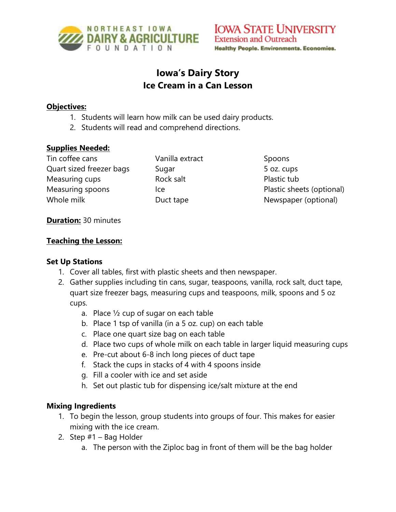

# **Iowa's Dairy Story Ice Cream in a Can Lesson**

#### **Objectives:**

- 1. Students will learn how milk can be used dairy products.
- 2. Students will read and comprehend directions.

#### **Supplies Needed:**

Tin coffee cans Quart sized freezer bags Measuring cups Measuring spoons Whole milk

Vanilla extract Sugar Rock salt Ice Duct tape

Spoons 5 oz. cups Plastic tub Plastic sheets (optional) Newspaper (optional)

#### **Duration:** 30 minutes

#### **Teaching the Lesson:**

#### **Set Up Stations**

- 1. Cover all tables, first with plastic sheets and then newspaper.
- 2. Gather supplies including tin cans, sugar, teaspoons, vanilla, rock salt, duct tape, quart size freezer bags, measuring cups and teaspoons, milk, spoons and 5 oz cups.
	- a. Place ½ cup of sugar on each table
	- b. Place 1 tsp of vanilla (in a 5 oz. cup) on each table
	- c. Place one quart size bag on each table
	- d. Place two cups of whole milk on each table in larger liquid measuring cups
	- e. Pre-cut about 6-8 inch long pieces of duct tape
	- f. Stack the cups in stacks of 4 with 4 spoons inside
	- g. Fill a cooler with ice and set aside
	- h. Set out plastic tub for dispensing ice/salt mixture at the end

#### **Mixing Ingredients**

- 1. To begin the lesson, group students into groups of four. This makes for easier mixing with the ice cream.
- 2. Step  $#1 -$  Bag Holder
	- a. The person with the Ziploc bag in front of them will be the bag holder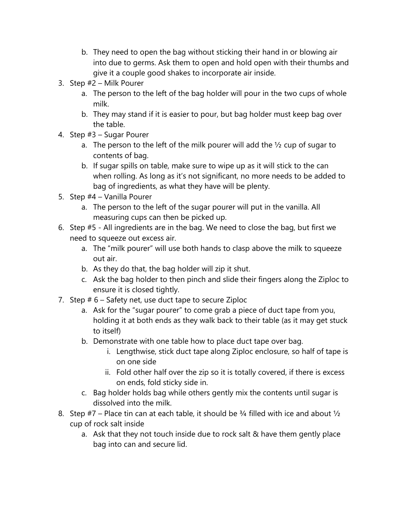- b. They need to open the bag without sticking their hand in or blowing air into due to germs. Ask them to open and hold open with their thumbs and give it a couple good shakes to incorporate air inside.
- 3. Step #2 Milk Pourer
	- a. The person to the left of the bag holder will pour in the two cups of whole milk.
	- b. They may stand if it is easier to pour, but bag holder must keep bag over the table.
- 4. Step #3 Sugar Pourer
	- a. The person to the left of the milk pourer will add the  $\frac{1}{2}$  cup of sugar to contents of bag.
	- b. If sugar spills on table, make sure to wipe up as it will stick to the can when rolling. As long as it's not significant, no more needs to be added to bag of ingredients, as what they have will be plenty.
- 5. Step #4 Vanilla Pourer
	- a. The person to the left of the sugar pourer will put in the vanilla. All measuring cups can then be picked up.
- 6. Step #5 All ingredients are in the bag. We need to close the bag, but first we need to squeeze out excess air.
	- a. The "milk pourer" will use both hands to clasp above the milk to squeeze out air.
	- b. As they do that, the bag holder will zip it shut.
	- c. Ask the bag holder to then pinch and slide their fingers along the Ziploc to ensure it is closed tightly.
- 7. Step # 6 Safety net, use duct tape to secure Ziploc
	- a. Ask for the "sugar pourer" to come grab a piece of duct tape from you, holding it at both ends as they walk back to their table (as it may get stuck to itself)
	- b. Demonstrate with one table how to place duct tape over bag.
		- i. Lengthwise, stick duct tape along Ziploc enclosure, so half of tape is on one side
		- ii. Fold other half over the zip so it is totally covered, if there is excess on ends, fold sticky side in.
	- c. Bag holder holds bag while others gently mix the contents until sugar is dissolved into the milk.
- 8. Step  $#7$  Place tin can at each table, it should be 3/4 filled with ice and about  $\frac{1}{2}$ cup of rock salt inside
	- a. Ask that they not touch inside due to rock salt & have them gently place bag into can and secure lid.